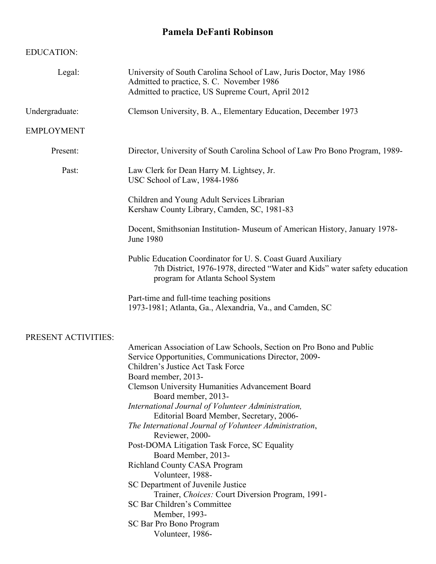## **Pamela DeFanti Robinson**

## EDUCATION:

| Legal:              | University of South Carolina School of Law, Juris Doctor, May 1986<br>Admitted to practice, S. C. November 1986<br>Admitted to practice, US Supreme Court, April 2012                                                                                                                                                                                                                                                                                                                                                                                                                                                                                                                                                                                                              |  |  |  |
|---------------------|------------------------------------------------------------------------------------------------------------------------------------------------------------------------------------------------------------------------------------------------------------------------------------------------------------------------------------------------------------------------------------------------------------------------------------------------------------------------------------------------------------------------------------------------------------------------------------------------------------------------------------------------------------------------------------------------------------------------------------------------------------------------------------|--|--|--|
| Undergraduate:      | Clemson University, B. A., Elementary Education, December 1973                                                                                                                                                                                                                                                                                                                                                                                                                                                                                                                                                                                                                                                                                                                     |  |  |  |
| <b>EMPLOYMENT</b>   |                                                                                                                                                                                                                                                                                                                                                                                                                                                                                                                                                                                                                                                                                                                                                                                    |  |  |  |
| Present:            | Director, University of South Carolina School of Law Pro Bono Program, 1989-                                                                                                                                                                                                                                                                                                                                                                                                                                                                                                                                                                                                                                                                                                       |  |  |  |
| Past:               | Law Clerk for Dean Harry M. Lightsey, Jr.<br>USC School of Law, 1984-1986                                                                                                                                                                                                                                                                                                                                                                                                                                                                                                                                                                                                                                                                                                          |  |  |  |
|                     | Children and Young Adult Services Librarian<br>Kershaw County Library, Camden, SC, 1981-83                                                                                                                                                                                                                                                                                                                                                                                                                                                                                                                                                                                                                                                                                         |  |  |  |
|                     | Docent, Smithsonian Institution-Museum of American History, January 1978-<br><b>June 1980</b>                                                                                                                                                                                                                                                                                                                                                                                                                                                                                                                                                                                                                                                                                      |  |  |  |
|                     | Public Education Coordinator for U.S. Coast Guard Auxiliary<br>7th District, 1976-1978, directed "Water and Kids" water safety education<br>program for Atlanta School System                                                                                                                                                                                                                                                                                                                                                                                                                                                                                                                                                                                                      |  |  |  |
|                     | Part-time and full-time teaching positions<br>1973-1981; Atlanta, Ga., Alexandria, Va., and Camden, SC                                                                                                                                                                                                                                                                                                                                                                                                                                                                                                                                                                                                                                                                             |  |  |  |
| PRESENT ACTIVITIES: | American Association of Law Schools, Section on Pro Bono and Public<br>Service Opportunities, Communications Director, 2009-<br>Children's Justice Act Task Force<br>Board member, 2013-<br><b>Clemson University Humanities Advancement Board</b><br>Board member, 2013-<br>International Journal of Volunteer Administration,<br>Editorial Board Member, Secretary, 2006-<br>The International Journal of Volunteer Administration,<br>Reviewer, 2000-<br>Post-DOMA Litigation Task Force, SC Equality<br>Board Member, 2013-<br><b>Richland County CASA Program</b><br>Volunteer, 1988-<br>SC Department of Juvenile Justice<br>Trainer, Choices: Court Diversion Program, 1991-<br>SC Bar Children's Committee<br>Member, 1993-<br>SC Bar Pro Bono Program<br>Volunteer, 1986- |  |  |  |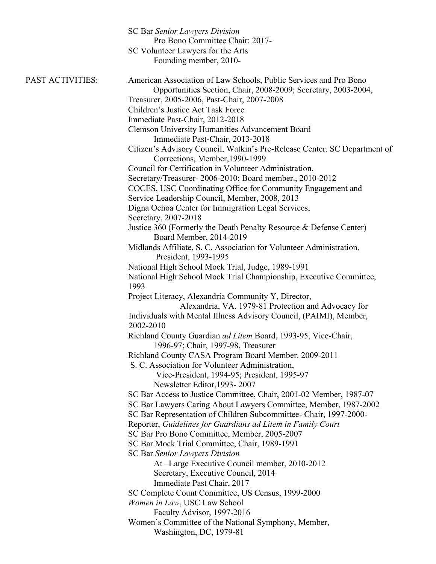|                  | <b>SC Bar Senior Lawyers Division</b><br>Pro Bono Committee Chair: 2017-<br>SC Volunteer Lawyers for the Arts<br>Founding member, 2010-                                            |  |  |  |  |
|------------------|------------------------------------------------------------------------------------------------------------------------------------------------------------------------------------|--|--|--|--|
| PAST ACTIVITIES: | American Association of Law Schools, Public Services and Pro Bono<br>Opportunities Section, Chair, 2008-2009; Secretary, 2003-2004,<br>Treasurer, 2005-2006, Past-Chair, 2007-2008 |  |  |  |  |
|                  | Children's Justice Act Task Force                                                                                                                                                  |  |  |  |  |
|                  | Immediate Past-Chair, 2012-2018                                                                                                                                                    |  |  |  |  |
|                  | <b>Clemson University Humanities Advancement Board</b>                                                                                                                             |  |  |  |  |
|                  | Immediate Past-Chair, 2013-2018<br>Citizen's Advisory Council, Watkin's Pre-Release Center. SC Department of                                                                       |  |  |  |  |
|                  | Corrections, Member, 1990-1999                                                                                                                                                     |  |  |  |  |
|                  | Council for Certification in Volunteer Administration,                                                                                                                             |  |  |  |  |
|                  | Secretary/Treasurer-2006-2010; Board member., 2010-2012                                                                                                                            |  |  |  |  |
|                  | COCES, USC Coordinating Office for Community Engagement and                                                                                                                        |  |  |  |  |
|                  | Service Leadership Council, Member, 2008, 2013                                                                                                                                     |  |  |  |  |
|                  | Digna Ochoa Center for Immigration Legal Services,                                                                                                                                 |  |  |  |  |
|                  | Secretary, 2007-2018                                                                                                                                                               |  |  |  |  |
|                  | Justice 360 (Formerly the Death Penalty Resource & Defense Center)                                                                                                                 |  |  |  |  |
|                  | Board Member, 2014-2019                                                                                                                                                            |  |  |  |  |
|                  | Midlands Affiliate, S. C. Association for Volunteer Administration,                                                                                                                |  |  |  |  |
|                  | President, 1993-1995                                                                                                                                                               |  |  |  |  |
|                  | National High School Mock Trial, Judge, 1989-1991                                                                                                                                  |  |  |  |  |
|                  | National High School Mock Trial Championship, Executive Committee,<br>1993                                                                                                         |  |  |  |  |
|                  | Project Literacy, Alexandria Community Y, Director,                                                                                                                                |  |  |  |  |
|                  | Alexandria, VA. 1979-81 Protection and Advocacy for<br>Individuals with Mental Illness Advisory Council, (PAIMI), Member,                                                          |  |  |  |  |
|                  | 2002-2010<br>Richland County Guardian ad Litem Board, 1993-95, Vice-Chair,                                                                                                         |  |  |  |  |
|                  | 1996-97; Chair, 1997-98, Treasurer                                                                                                                                                 |  |  |  |  |
|                  | Richland County CASA Program Board Member. 2009-2011<br>S. C. Association for Volunteer Administration,                                                                            |  |  |  |  |
|                  | Vice-President, 1994-95; President, 1995-97                                                                                                                                        |  |  |  |  |
|                  | Newsletter Editor, 1993-2007                                                                                                                                                       |  |  |  |  |
|                  | SC Bar Access to Justice Committee, Chair, 2001-02 Member, 1987-07                                                                                                                 |  |  |  |  |
|                  | SC Bar Lawyers Caring About Lawyers Committee, Member, 1987-2002                                                                                                                   |  |  |  |  |
|                  | SC Bar Representation of Children Subcommittee- Chair, 1997-2000-                                                                                                                  |  |  |  |  |
|                  | Reporter, Guidelines for Guardians ad Litem in Family Court                                                                                                                        |  |  |  |  |
|                  | SC Bar Pro Bono Committee, Member, 2005-2007                                                                                                                                       |  |  |  |  |
|                  | SC Bar Mock Trial Committee, Chair, 1989-1991                                                                                                                                      |  |  |  |  |
|                  | <b>SC Bar Senior Lawyers Division</b>                                                                                                                                              |  |  |  |  |
|                  | At -Large Executive Council member, 2010-2012                                                                                                                                      |  |  |  |  |
|                  | Secretary, Executive Council, 2014                                                                                                                                                 |  |  |  |  |
|                  | Immediate Past Chair, 2017                                                                                                                                                         |  |  |  |  |
|                  | SC Complete Count Committee, US Census, 1999-2000                                                                                                                                  |  |  |  |  |
|                  | Women in Law, USC Law School                                                                                                                                                       |  |  |  |  |
|                  | Faculty Advisor, 1997-2016                                                                                                                                                         |  |  |  |  |
|                  | Women's Committee of the National Symphony, Member,<br>Washington, DC, 1979-81                                                                                                     |  |  |  |  |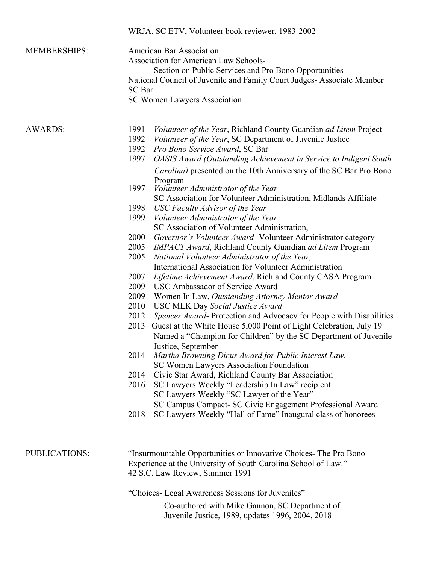|                      | WRJA, SC ETV, Volunteer book reviewer, 1983-2002                                                                                                                                                                                                                                                                                                                                                                                                                                                                                                                                                                                                                                                                                                                                                                                                                                                                                                                                                                                                                                                                                                                                                                                                                                                                                                                                                                                                       |  |  |  |  |  |
|----------------------|--------------------------------------------------------------------------------------------------------------------------------------------------------------------------------------------------------------------------------------------------------------------------------------------------------------------------------------------------------------------------------------------------------------------------------------------------------------------------------------------------------------------------------------------------------------------------------------------------------------------------------------------------------------------------------------------------------------------------------------------------------------------------------------------------------------------------------------------------------------------------------------------------------------------------------------------------------------------------------------------------------------------------------------------------------------------------------------------------------------------------------------------------------------------------------------------------------------------------------------------------------------------------------------------------------------------------------------------------------------------------------------------------------------------------------------------------------|--|--|--|--|--|
| <b>MEMBERSHIPS:</b>  | <b>American Bar Association</b><br><b>Association for American Law Schools-</b><br>Section on Public Services and Pro Bono Opportunities<br>National Council of Juvenile and Family Court Judges- Associate Member<br><b>SC</b> Bar<br>SC Women Lawyers Association                                                                                                                                                                                                                                                                                                                                                                                                                                                                                                                                                                                                                                                                                                                                                                                                                                                                                                                                                                                                                                                                                                                                                                                    |  |  |  |  |  |
| <b>AWARDS:</b>       | Volunteer of the Year, Richland County Guardian ad Litem Project<br>1991<br>1992<br>Volunteer of the Year, SC Department of Juvenile Justice<br>1992<br>Pro Bono Service Award, SC Bar<br>1997<br>OASIS Award (Outstanding Achievement in Service to Indigent South<br>Carolina) presented on the 10th Anniversary of the SC Bar Pro Bono                                                                                                                                                                                                                                                                                                                                                                                                                                                                                                                                                                                                                                                                                                                                                                                                                                                                                                                                                                                                                                                                                                              |  |  |  |  |  |
|                      | Program<br>Volunteer Administrator of the Year<br>1997<br>SC Association for Volunteer Administration, Midlands Affiliate<br>1998<br>USC Faculty Advisor of the Year<br>1999<br>Volunteer Administrator of the Year<br>SC Association of Volunteer Administration,<br>Governor's Volunteer Award-Volunteer Administrator category<br>2000<br>2005<br><b>IMPACT Award, Richland County Guardian ad Litem Program</b><br>National Volunteer Administrator of the Year,<br>2005<br>International Association for Volunteer Administration<br>2007<br><i>Lifetime Achievement Award</i> , Richland County CASA Program<br>USC Ambassador of Service Award<br>2009<br>2009<br>Women In Law, Outstanding Attorney Mentor Award<br>2010<br><b>USC MLK Day Social Justice Award</b><br>2012<br>Spencer Award-Protection and Advocacy for People with Disabilities<br>2013<br>Guest at the White House 5,000 Point of Light Celebration, July 19<br>Named a "Champion for Children" by the SC Department of Juvenile<br>Justice, September<br>Martha Browning Dicus Award for Public Interest Law,<br>2014<br>SC Women Lawyers Association Foundation<br>2014<br>Civic Star Award, Richland County Bar Association<br>2016<br>SC Lawyers Weekly "Leadership In Law" recipient<br>SC Lawyers Weekly "SC Lawyer of the Year"<br>SC Campus Compact- SC Civic Engagement Professional Award<br>SC Lawyers Weekly "Hall of Fame" Inaugural class of honorees<br>2018 |  |  |  |  |  |
| <b>PUBLICATIONS:</b> | "Insurmountable Opportunities or Innovative Choices- The Pro Bono<br>Experience at the University of South Carolina School of Law."<br>42 S.C. Law Review, Summer 1991<br>"Choices- Legal Awareness Sessions for Juveniles"<br>Co-authored with Mike Gannon, SC Department of<br>Juvenile Justice, 1989, updates 1996, 2004, 2018                                                                                                                                                                                                                                                                                                                                                                                                                                                                                                                                                                                                                                                                                                                                                                                                                                                                                                                                                                                                                                                                                                                      |  |  |  |  |  |